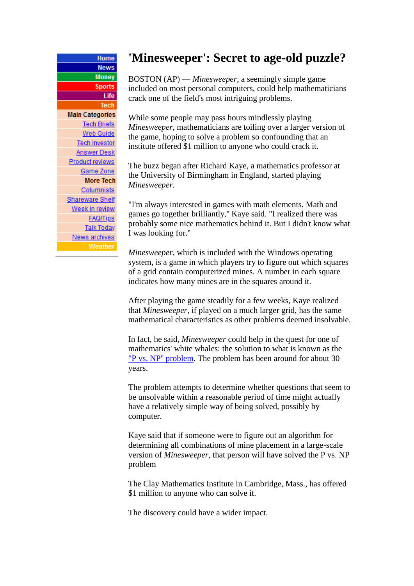| Home                   |
|------------------------|
| <b>News</b>            |
| <b>Money</b>           |
| <b>Sports</b>          |
| Life                   |
| Tech                   |
| <b>Main Categories</b> |
| <b>Tech Briefs</b>     |
| Web Guide              |
| <b>Tech Investor</b>   |
| <u>Answer Desk</u>     |
| <b>Product reviews</b> |
| Game Zone              |
| <b>More Tech</b>       |
| <b>Columnists</b>      |
| <u>Shareware Shelf</u> |
| Week in review         |
| <b>FAQ/Tips</b>        |
| <b>Talk Today</b>      |
| News archives          |
| Weather                |

## **'Minesweeper': Secret to age-old puzzle?**

BOSTON (AP) — *Minesweeper*, a seemingly simple game included on most personal computers, could help mathematicians crack one of the field's most intriguing problems.

While some people may pass hours mindlessly playing *Minesweeper*, mathematicians are toiling over a larger version of the game, hoping to solve a problem so confounding that an institute offered \$1 million to anyone who could crack it.

The buzz began after Richard Kaye, a mathematics professor at the University of Birmingham in England, started playing *Minesweeper*.

"I'm always interested in games with math elements. Math and games go together brilliantly,'' Kaye said. "I realized there was probably some nice mathematics behind it. But I didn't know what I was looking for.''

*Minesweeper*, which is included with the Windows operating system, is a game in which players try to figure out which squares of a grid contain computerized mines. A number in each square indicates how many mines are in the squares around it.

After playing the game steadily for a few weeks, Kaye realized that *Minesweeper*, if played on a much larger grid, has the same mathematical characteristics as other problems deemed insolvable.

In fact, he said, *Minesweeper* could help in the quest for one of mathematics' white whales: the solution to what is known as the "P vs. NP'' problem. The problem has been around for about 30 years.

The problem attempts to determine whether questions that seem to be unsolvable within a reasonable period of time might actually have a relatively simple way of being solved, possibly by computer.

Kaye said that if someone were to figure out an algorithm for determining all combinations of mine placement in a large-scale version of *Minesweeper*, that person will have solved the P vs. NP problem

The Clay Mathematics Institute in Cambridge, Mass., has offered \$1 million to anyone who can solve it.

The discovery could have a wider impact.